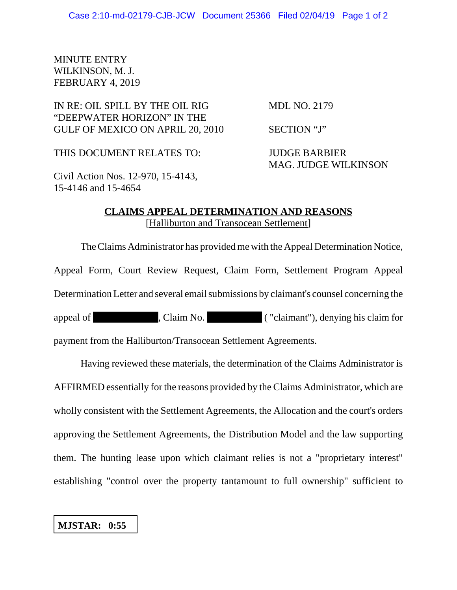## MINUTE ENTRY WILKINSON, M. J. FEBRUARY 4, 2019

## IN RE: OIL SPILL BY THE OIL RIG MDL NO. 2179 "DEEPWATER HORIZON" IN THE GULF OF MEXICO ON APRIL 20, 2010 SECTION "J"

THIS DOCUMENT RELATES TO: JUDGE BARBIER

MAG. JUDGE WILKINSON

Civil Action Nos. 12-970, 15-4143, 15-4146 and 15-4654

## **CLAIMS APPEAL DETERMINATION AND REASONS** [Halliburton and Transocean Settlement]

The Claims Administrator has provided me with the Appeal Determination Notice, Appeal Form, Court Review Request, Claim Form, Settlement Program Appeal Determination Letter and several email submissions by claimant's counsel concerning the appeal of , Claim No. ( "claimant"), denying his claim for payment from the Halliburton/Transocean Settlement Agreements.

Having reviewed these materials, the determination of the Claims Administrator is AFFIRMED essentially for the reasons provided by the Claims Administrator, which are wholly consistent with the Settlement Agreements, the Allocation and the court's orders approving the Settlement Agreements, the Distribution Model and the law supporting them. The hunting lease upon which claimant relies is not a "proprietary interest" establishing "control over the property tantamount to full ownership" sufficient to

## **MJSTAR: 0:55**